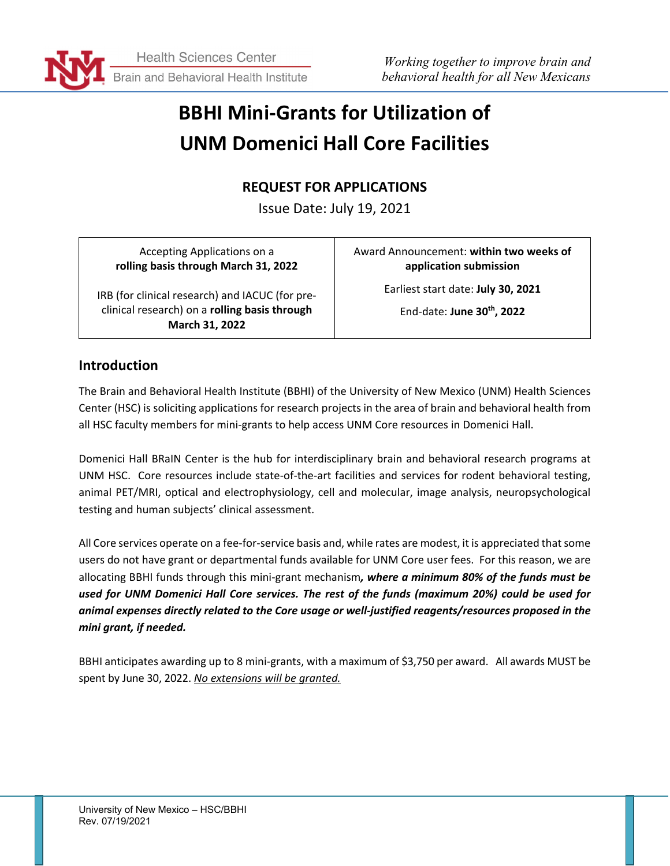

# **BBHI Mini-Grants for Utilization of UNM Domenici Hall Core Facilities**

## **REQUEST FOR APPLICATIONS**

Issue Date: July 19, 2021

Accepting Applications on a **rolling basis through March 31, 2022**

IRB (for clinical research) and IACUC (for preclinical research) on a **rolling basis through March 31, 2022**

Award Announcement: **within two weeks of application submission**

> Earliest start date: **July 30, 2021** End-date: **June 30th, 2022**

#### **Introduction**

The Brain and Behavioral Health Institute (BBHI) of the University of New Mexico (UNM) Health Sciences Center (HSC) is soliciting applications for research projects in the area of brain and behavioral health from all HSC faculty members for mini-grants to help access UNM Core resources in Domenici Hall.

Domenici Hall BRaIN Center is the hub for interdisciplinary brain and behavioral research programs at UNM HSC. Core resources include state-of-the-art facilities and services for rodent behavioral testing, animal PET/MRI, optical and electrophysiology, cell and molecular, image analysis, neuropsychological testing and human subjects' clinical assessment.

All Core services operate on a fee-for-service basis and, while rates are modest, it is appreciated that some users do not have grant or departmental funds available for UNM Core user fees. For this reason, we are allocating BBHI funds through this mini-grant mechanism*, where a minimum 80% of the funds must be used for UNM Domenici Hall Core services. The rest of the funds (maximum 20%) could be used for animal expenses directly related to the Core usage or well-justified reagents/resources proposed in the mini grant, if needed.*

BBHI anticipates awarding up to 8 mini-grants, with a maximum of \$3,750 per award. All awards MUST be spent by June 30, 2022. *No extensions will be granted.*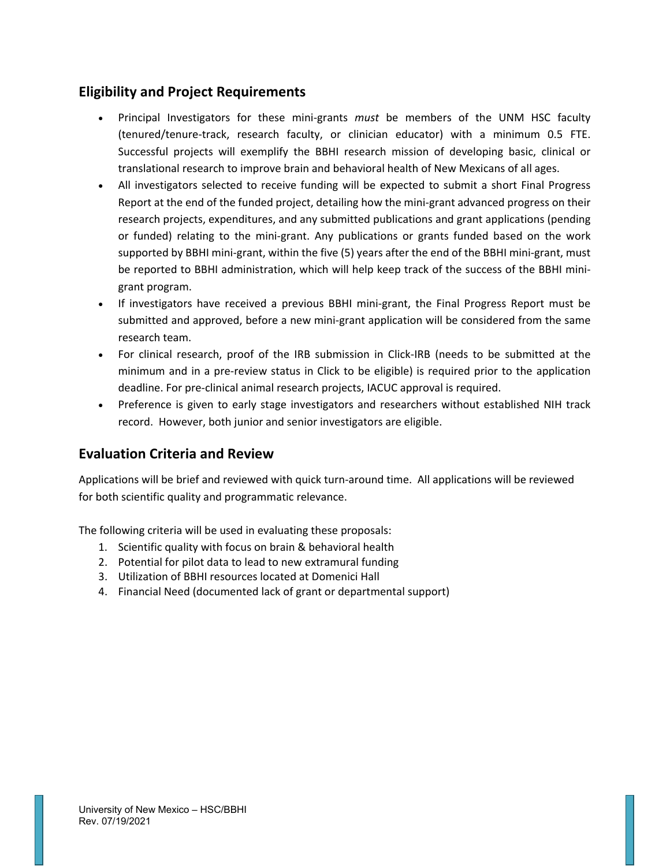#### **Eligibility and Project Requirements**

- Principal Investigators for these mini-grants *must* be members of the UNM HSC faculty (tenured/tenure-track, research faculty, or clinician educator) with a minimum 0.5 FTE. Successful projects will exemplify the BBHI research mission of developing basic, clinical or translational research to improve brain and behavioral health of New Mexicans of all ages.
- All investigators selected to receive funding will be expected to submit a short Final Progress Report at the end of the funded project, detailing how the mini-grant advanced progress on their research projects, expenditures, and any submitted publications and grant applications (pending or funded) relating to the mini-grant. Any publications or grants funded based on the work supported by BBHI mini-grant, within the five (5) years after the end of the BBHI mini-grant, must be reported to BBHI administration, which will help keep track of the success of the BBHI minigrant program.
- If investigators have received a previous BBHI mini-grant, the Final Progress Report must be submitted and approved, before a new mini-grant application will be considered from the same research team.
- For clinical research, proof of the IRB submission in Click-IRB (needs to be submitted at the minimum and in a pre-review status in Click to be eligible) is required prior to the application deadline. For pre-clinical animal research projects, IACUC approval is required.
- Preference is given to early stage investigators and researchers without established NIH track record. However, both junior and senior investigators are eligible.

#### **Evaluation Criteria and Review**

Applications will be brief and reviewed with quick turn-around time. All applications will be reviewed for both scientific quality and programmatic relevance.

The following criteria will be used in evaluating these proposals:

- 1. Scientific quality with focus on brain & behavioral health
- 2. Potential for pilot data to lead to new extramural funding
- 3. Utilization of BBHI resources located at Domenici Hall
- 4. Financial Need (documented lack of grant or departmental support)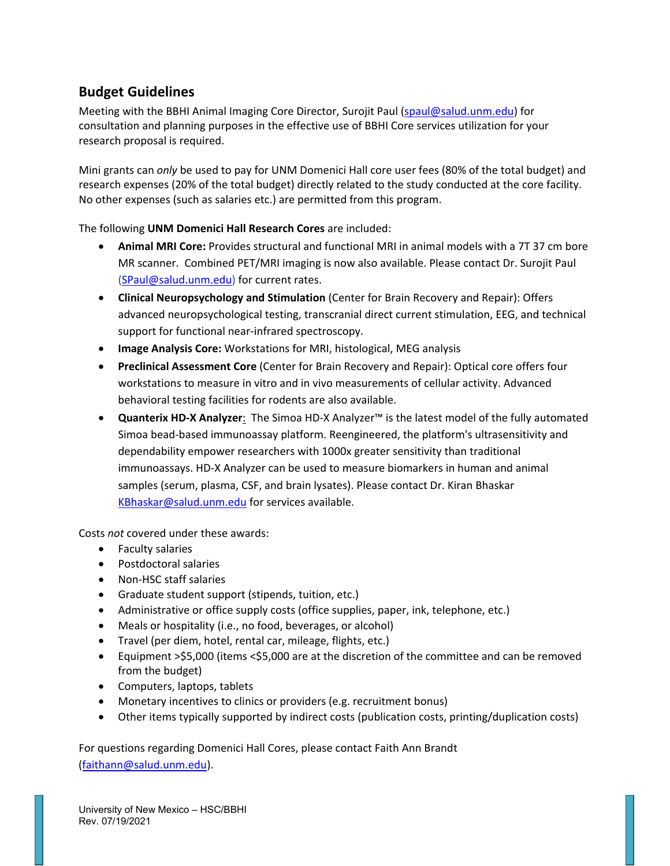#### **Budget Guidelines**

Meeting with the BBHI Animal Imaging Core Director, Surojit Paul [\(spaul@salud.unm.edu\)](mailto:spaul@salud.unm.edu) for consultation and planning purposes in the effective use of BBHI Core services utilization for your research proposal is required.

Mini grants can *only* be used to pay for UNM Domenici Hall core user fees (80% of the total budget) and research expenses (20% of the total budget) directly related to the study conducted at the core facility. No other expenses (such as salaries etc.) are permitted from this program.

The following **UNM Domenici Hall Research Cores** are included:

- **Animal MRI Core:** Provides structural and functional MRI in animal models with a 7T 37 cm bore MR scanner. Combined PET/MRI imaging is now also available. Please contact Dr. Surojit Paul [\(SPaul@salud.unm.edu\)](mailto:SPaul@salud.unm.edu) for current rates.
- **Clinical Neuropsychology and Stimulation** (Center for Brain Recovery and Repair): Offers advanced neuropsychological testing, transcranial direct current stimulation, EEG, and technical support for functional near-infrared spectroscopy.
- **Image Analysis Core:** Workstations for MRI, histological, MEG analysis
- **Preclinical Assessment Core** (Center for Brain Recovery and Repair): Optical core offers four workstations to measure in vitro and in vivo measurements of cellular activity. Advanced behavioral testing facilities for rodents are also available.
- **Quanterix HD-X Analyzer**: The Simoa HD-X Analyzer™ is the latest model of the fully automated Simoa bead-based immunoassay platform. Reengineered, the platform's ultrasensitivity and dependability empower researchers with 1000x greater sensitivity than traditional immunoassays. HD-X Analyzer can be used to measure biomarkers in human and animal samples (serum, plasma, CSF, and brain lysates). Please contact Dr. Kiran Bhaskar [KBhaskar@salud.unm.edu](mailto:KBhaskar@salud.unm.edu) for services available.

Costs *not* covered under these awards:

- Faculty salaries
- Postdoctoral salaries
- Non-HSC staff salaries
- Graduate student support (stipends, tuition, etc.)
- Administrative or office supply costs (office supplies, paper, ink, telephone, etc.)
- Meals or hospitality (i.e., no food, beverages, or alcohol)
- Travel (per diem, hotel, rental car, mileage, flights, etc.)
- Equipment >\$5,000 (items <\$5,000 are at the discretion of the committee and can be removed from the budget)
- Computers, laptops, tablets
- Monetary incentives to clinics or providers (e.g. recruitment bonus)
- Other items typically supported by indirect costs (publication costs, printing/duplication costs)

For questions regarding Domenici Hall Cores, please contact Faith Ann Brandt [\(faithann@salud.unm.edu\)](mailto:faithann@salud.unm.edu).